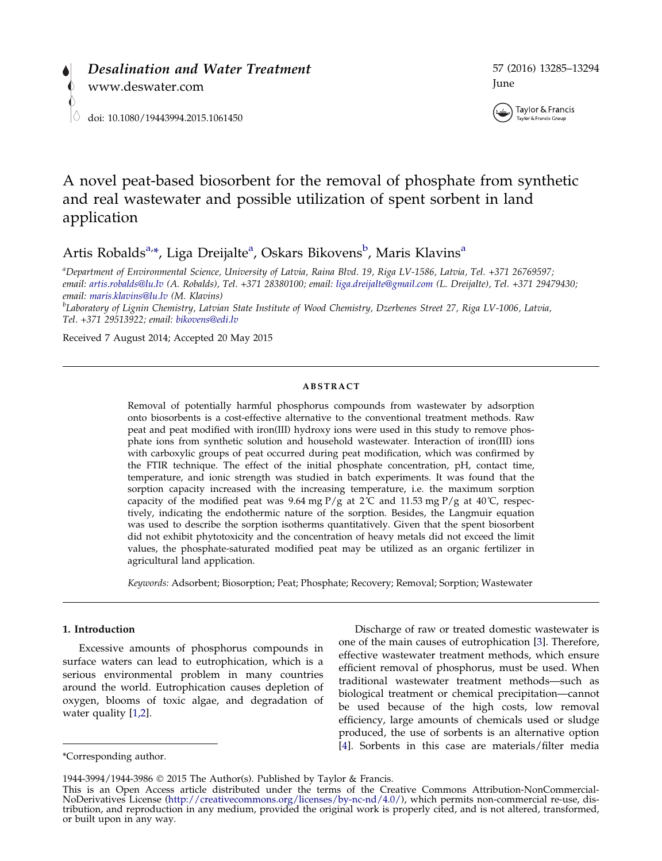



# A novel peat-based biosorbent for the removal of phosphate from synthetic and real wastewater and possible utilization of spent sorbent in land application

Artis Robalds<sup>a,</sup>\*, Liga Dreijalte<sup>a</sup>, Oskars Bikovens<sup>b</sup>, Maris Klavins<sup>a</sup>

a Department of Environmental Science, University of Latvia, Raina Blvd. 19, Riga LV-1586, Latvia, Tel. +371 26769597; email: [artis.robalds@lu.lv](mailto:artis.robalds@lu.lv) (A. Robalds), Tel. +371 28380100; email: [liga.dreijalte@gmail.com](mailto:liga.dreijalte@gmail.com) (L. Dreijalte), Tel. +371 29479430; email: [maris.klavins@lu.lv](mailto:maris.klavins@lu.lv) (M. Klavins)

<sup>b</sup>Laboratory of Lignin Chemistry, Latvian State Institute of Wood Chemistry, Dzerbenes Street 27, Riga LV-1006, Latvia, Tel. +371 29513922; email: [bikovens@edi.lv](mailto:bikovens@edi.lv)

Received 7 August 2014; Accepted 20 May 2015

#### ABSTRACT

Removal of potentially harmful phosphorus compounds from wastewater by adsorption onto biosorbents is a cost-effective alternative to the conventional treatment methods. Raw peat and peat modified with iron(III) hydroxy ions were used in this study to remove phosphate ions from synthetic solution and household wastewater. Interaction of iron(III) ions with carboxylic groups of peat occurred during peat modification, which was confirmed by the FTIR technique. The effect of the initial phosphate concentration, pH, contact time, temperature, and ionic strength was studied in batch experiments. It was found that the sorption capacity increased with the increasing temperature, i.e. the maximum sorption capacity of the modified peat was 9.64 mg  $P/g$  at 2°C and 11.53 mg  $P/g$  at 40°C, respectively, indicating the endothermic nature of the sorption. Besides, the Langmuir equation was used to describe the sorption isotherms quantitatively. Given that the spent biosorbent did not exhibit phytotoxicity and the concentration of heavy metals did not exceed the limit values, the phosphate-saturated modified peat may be utilized as an organic fertilizer in agricultural land application.

Keywords: Adsorbent; Biosorption; Peat; Phosphate; Recovery; Removal; Sorption; Wastewater

# 1. Introduction

Excessive amounts of phosphorus compounds in surface waters can lead to eutrophication, which is a serious environmental problem in many countries around the world. Eutrophication causes depletion of oxygen, blooms of toxic algae, and degradation of water quality [\[1,2](#page-8-0)].

Discharge of raw or treated domestic wastewater is one of the main causes of eutrophication [\[3](#page-8-0)]. Therefore, effective wastewater treatment methods, which ensure efficient removal of phosphorus, must be used. When traditional wastewater treatment methods—such as biological treatment or chemical precipitation—cannot be used because of the high costs, low removal efficiency, large amounts of chemicals used or sludge produced, the use of sorbents is an alternative option [\[4\]](#page-8-0). Sorbents in this case are materials/filter media

<sup>\*</sup>Corresponding author.

<sup>1944-3994/1944-3986</sup> 2015 The Author(s). Published by Taylor & Francis.

This is an Open Access article distributed under the terms of the Creative Commons Attribution-NonCommercial-NoDerivatives License (http://creativecommons.org/licenses/by-nc-nd/4.0/), which permits non-commercial re-use, d tribution, and reproduction in any medium, provided the original work is properly cited, and is not altered, transformed, or built upon in any way.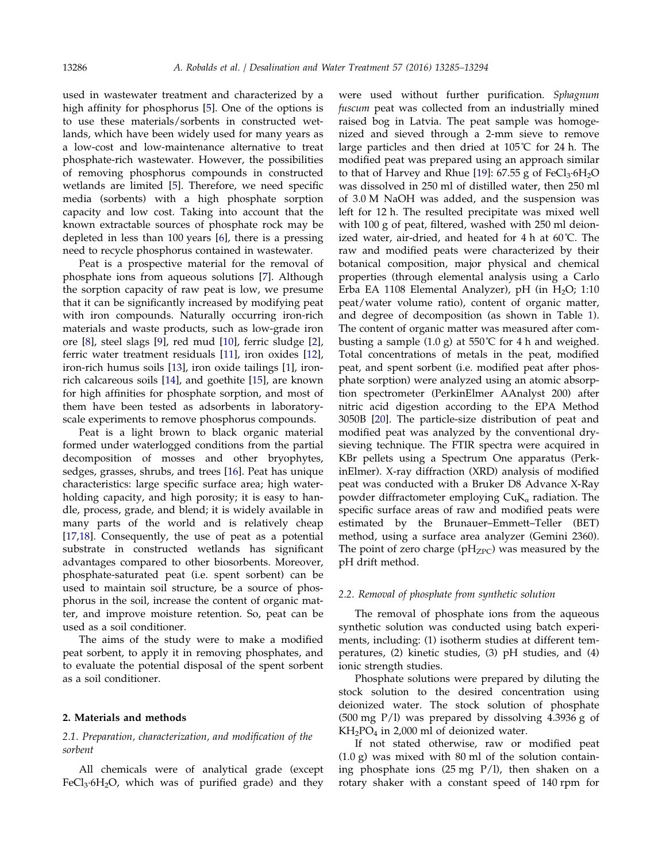used in wastewater treatment and characterized by a high affinity for phosphorus [[5\]](#page-8-0). One of the options is to use these materials/sorbents in constructed wetlands, which have been widely used for many years as a low-cost and low-maintenance alternative to treat phosphate-rich wastewater. However, the possibilities of removing phosphorus compounds in constructed wetlands are limited [[5](#page-8-0)]. Therefore, we need specific media (sorbents) with a high phosphate sorption capacity and low cost. Taking into account that the known extractable sources of phosphate rock may be depleted in less than 100 years [[6](#page-8-0)], there is a pressing need to recycle phosphorus contained in wastewater.

Peat is a prospective material for the removal of phosphate ions from aqueous solutions [[7\]](#page-8-0). Although the sorption capacity of raw peat is low, we presume that it can be significantly increased by modifying peat with iron compounds. Naturally occurring iron-rich materials and waste products, such as low-grade iron ore [[8\]](#page-8-0), steel slags [[9\]](#page-8-0), red mud [\[10](#page-8-0)], ferric sludge [\[2](#page-8-0)], ferric water treatment residuals [[11](#page-8-0)], iron oxides [[12](#page-8-0)], iron-rich humus soils [[13\]](#page-8-0), iron oxide tailings [\[1\]](#page-8-0), ironrich calcareous soils [\[14\]](#page-8-0), and goethite [\[15\]](#page-8-0), are known for high affinities for phosphate sorption, and most of them have been tested as adsorbents in laboratoryscale experiments to remove phosphorus compounds.

Peat is a light brown to black organic material formed under waterlogged conditions from the partial decomposition of mosses and other bryophytes, sedges, grasses, shrubs, and trees [[16](#page-8-0)]. Peat has unique characteristics: large specific surface area; high waterholding capacity, and high porosity; it is easy to handle, process, grade, and blend; it is widely available in many parts of the world and is relatively cheap [[17,18\]](#page-8-0). Consequently, the use of peat as a potential substrate in constructed wetlands has significant advantages compared to other biosorbents. Moreover, phosphate-saturated peat (i.e. spent sorbent) can be used to maintain soil structure, be a source of phosphorus in the soil, increase the content of organic matter, and improve moisture retention. So, peat can be used as a soil conditioner.

The aims of the study were to make a modified peat sorbent, to apply it in removing phosphates, and to evaluate the potential disposal of the spent sorbent as a soil conditioner.

## 2. Materials and methods

# 2.1. Preparation, characterization, and modification of the sorbent

All chemicals were of analytical grade (except  $FeCl<sub>3</sub>·6H<sub>2</sub>O$ , which was of purified grade) and they were used without further purification. Sphagnum fuscum peat was collected from an industrially mined raised bog in Latvia. The peat sample was homogenized and sieved through a 2-mm sieve to remove large particles and then dried at 105˚C for 24 h. The modified peat was prepared using an approach similar to that of Harvey and Rhue [[19\]](#page-8-0):  $67.55$  g of FeCl<sub>3</sub> $\cdot$ 6H<sub>2</sub>O was dissolved in 250 ml of distilled water, then 250 ml of 3.0 M NaOH was added, and the suspension was left for 12 h. The resulted precipitate was mixed well with 100 g of peat, filtered, washed with 250 ml deionized water, air-dried, and heated for 4 h at 60˚C. The raw and modified peats were characterized by their botanical composition, major physical and chemical properties (through elemental analysis using a Carlo Erba EA 1108 Elemental Analyzer), pH (in  $H_2O$ ; 1:10 peat/water volume ratio), content of organic matter, and degree of decomposition (as shown in Table [1](#page-2-0)). The content of organic matter was measured after combusting a sample  $(1.0 \text{ g})$  at 550°C for 4 h and weighed. Total concentrations of metals in the peat, modified peat, and spent sorbent (i.e. modified peat after phosphate sorption) were analyzed using an atomic absorption spectrometer (PerkinElmer AAnalyst 200) after nitric acid digestion according to the EPA Method 3050B [\[20\]](#page-9-0). The particle-size distribution of peat and modified peat was analyzed by the conventional drysieving technique. The FTIR spectra were acquired in KBr pellets using a Spectrum One apparatus (PerkinElmer). X-ray diffraction (XRD) analysis of modified peat was conducted with a Bruker D8 Advance X-Ray powder diffractometer employing  $CuK_\alpha$  radiation. The specific surface areas of raw and modified peats were estimated by the Brunauer–Emmett–Teller (BET) method, using a surface area analyzer (Gemini 2360). The point of zero charge ( $pH_{ZPC}$ ) was measured by the pH drift method.

#### 2.2. Removal of phosphate from synthetic solution

The removal of phosphate ions from the aqueous synthetic solution was conducted using batch experiments, including: (1) isotherm studies at different temperatures, (2) kinetic studies, (3) pH studies, and (4) ionic strength studies.

Phosphate solutions were prepared by diluting the stock solution to the desired concentration using deionized water. The stock solution of phosphate (500 mg P/l) was prepared by dissolving 4.3936 g of  $KH<sub>2</sub>PO<sub>4</sub>$  in 2,000 ml of deionized water.

If not stated otherwise, raw or modified peat (1.0 g) was mixed with 80 ml of the solution containing phosphate ions (25 mg P/l), then shaken on a rotary shaker with a constant speed of 140 rpm for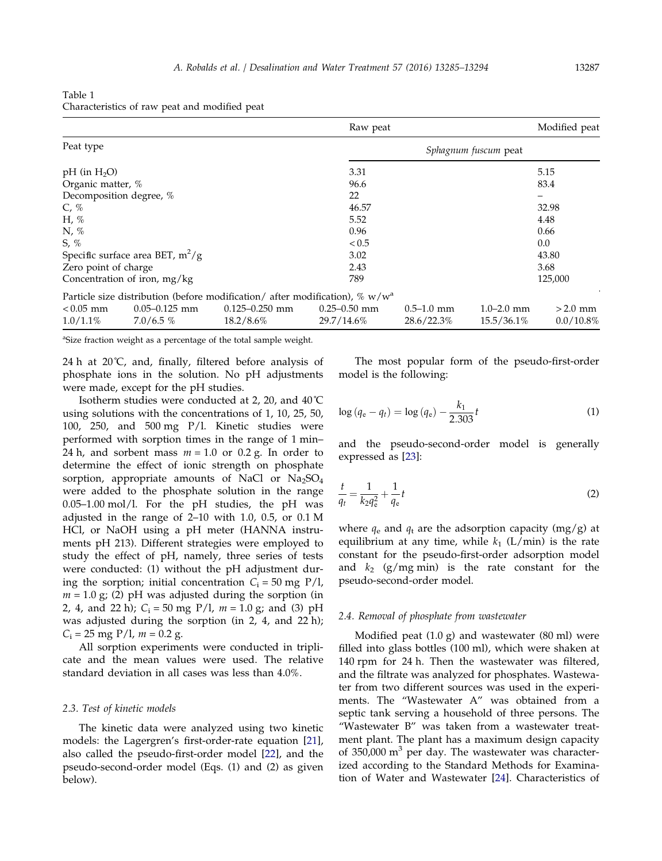<span id="page-2-0"></span>Table 1 Characteristics of raw peat and modified peat

|                                    |                                  |                                                                                             | Raw peat                       |                              |                              | Modified peat             |
|------------------------------------|----------------------------------|---------------------------------------------------------------------------------------------|--------------------------------|------------------------------|------------------------------|---------------------------|
| Peat type                          |                                  |                                                                                             |                                |                              |                              |                           |
| $pH$ (in $H_2O$ )                  |                                  |                                                                                             | 3.31                           |                              |                              | 5.15                      |
| Organic matter, %                  |                                  |                                                                                             | 96.6                           |                              |                              | 83.4                      |
| Decomposition degree, %            |                                  |                                                                                             | 22                             |                              |                              | -                         |
| $C, \%$                            |                                  |                                                                                             | 46.57                          |                              |                              | 32.98                     |
| H, $%$                             |                                  |                                                                                             | 5.52                           |                              |                              | 4.48                      |
| $N, \%$                            |                                  | 0.96                                                                                        |                                |                              | 0.66                         |                           |
| $S, \%$                            |                                  | < 0.5                                                                                       |                                |                              | 0.0                          |                           |
| Specific surface area BET, $m^2/g$ |                                  | 3.02                                                                                        |                                |                              |                              |                           |
| Zero point of charge               |                                  |                                                                                             | 2.43                           |                              |                              |                           |
| Concentration of iron, mg/kg       |                                  | 789                                                                                         |                                | 125,000                      |                              |                           |
|                                    |                                  | Particle size distribution (before modification/ after modification), $\%$ w/w <sup>3</sup> |                                |                              |                              |                           |
| $< 0.05$ mm<br>$1.0/1.1\%$         | $0.05 - 0.125$ mm<br>$7.0/6.5\%$ | $0.125 - 0.250$ mm<br>18.2/8.6%                                                             | $0.25 - 0.50$ mm<br>29.7/14.6% | $0.5 - 1.0$ mm<br>28.6/22.3% | $1.0 - 2.0$ mm<br>15.5/36.1% | $>2.0$ mm<br>$0.0/10.8\%$ |

<sup>a</sup>Size fraction weight as a percentage of the total sample weight.

24 h at  $20^{\circ}$ C, and, finally, filtered before analysis of phosphate ions in the solution. No pH adjustments were made, except for the pH studies.

Isotherm studies were conducted at 2, 20, and 40˚C using solutions with the concentrations of 1, 10, 25, 50, 100, 250, and 500 mg P/l. Kinetic studies were performed with sorption times in the range of 1 min– 24 h, and sorbent mass  $m = 1.0$  or 0.2 g. In order to determine the effect of ionic strength on phosphate sorption, appropriate amounts of NaCl or  $Na<sub>2</sub>SO<sub>4</sub>$ were added to the phosphate solution in the range 0.05–1.00 mol/l. For the pH studies, the pH was adjusted in the range of 2–10 with 1.0, 0.5, or 0.1 M HCl, or NaOH using a pH meter (HANNA instruments pH 213). Different strategies were employed to study the effect of pH, namely, three series of tests were conducted: (1) without the pH adjustment during the sorption; initial concentration  $C_i = 50$  mg P/l,  $m = 1.0$  g; (2) pH was adjusted during the sorption (in 2, 4, and 22 h);  $C_i = 50$  mg P/l,  $m = 1.0$  g; and (3) pH was adjusted during the sorption (in 2, 4, and 22 h);  $C_i = 25$  mg P/l,  $m = 0.2$  g.

All sorption experiments were conducted in triplicate and the mean values were used. The relative standard deviation in all cases was less than 4.0%.

# 2.3. Test of kinetic models

The kinetic data were analyzed using two kinetic models: the Lagergren's first-order-rate equation [[21](#page-9-0)], also called the pseudo-first-order model [\[22\]](#page-9-0), and the pseudo-second-order model (Eqs. (1) and (2) as given below).

The most popular form of the pseudo-first-order model is the following:

$$
\log (q_e - q_t) = \log (q_e) - \frac{k_1}{2.303}t \tag{1}
$$

and the pseudo-second-order model is generally expressed as [\[23](#page-9-0)]:

$$
\frac{t}{q_t} = \frac{1}{k_2 q_e^2} + \frac{1}{q_e} t \tag{2}
$$

where  $q_e$  and  $q_t$  are the adsorption capacity (mg/g) at equilibrium at any time, while  $k_1$  (L/min) is the rate constant for the pseudo-first-order adsorption model and  $k_2$  (g/mg min) is the rate constant for the pseudo-second-order model.

#### 2.4. Removal of phosphate from wastewater

Modified peat  $(1.0 \text{ g})$  and wastewater  $(80 \text{ ml})$  were filled into glass bottles (100 ml), which were shaken at 140 rpm for 24 h. Then the wastewater was filtered, and the filtrate was analyzed for phosphates. Wastewater from two different sources was used in the experiments. The "Wastewater A" was obtained from a septic tank serving a household of three persons. The "Wastewater B" was taken from a wastewater treatment plant. The plant has a maximum design capacity of 350,000  $m<sup>3</sup>$  per day. The wastewater was characterized according to the Standard Methods for Examination of Water and Wastewater [[24\]](#page-9-0). Characteristics of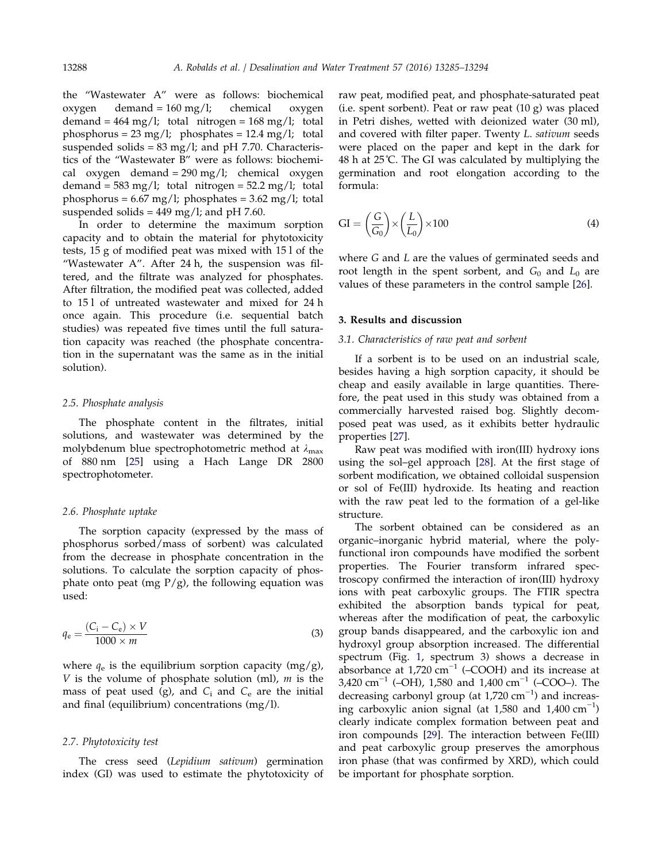the "Wastewater A" were as follows: biochemical oxygen demand = 160 mg/l; chemical oxygen demand =  $464 \text{ mg/l}$ ; total nitrogen =  $168 \text{ mg/l}$ ; total phosphorus =  $23 \text{ mg/l}$ ; phosphates =  $12.4 \text{ mg/l}$ ; total suspended solids =  $83 \text{ mg/l}$ ; and pH 7.70. Characteristics of the "Wastewater B" were as follows: biochemical oxygen demand =  $290 \text{ mg/l}$ ; chemical oxygen demand =  $583 \text{ mg/l}$ ; total nitrogen =  $52.2 \text{ mg/l}$ ; total phosphorus =  $6.67 \text{ mg/l}$ ; phosphates =  $3.62 \text{ mg/l}$ ; total suspended solids =  $449 \text{ mg/l}$ ; and pH 7.60.

In order to determine the maximum sorption capacity and to obtain the material for phytotoxicity tests, 15 g of modified peat was mixed with 15 l of the "Wastewater A". After 24 h, the suspension was filtered, and the filtrate was analyzed for phosphates. After filtration, the modified peat was collected, added to 15 l of untreated wastewater and mixed for 24 h once again. This procedure (i.e. sequential batch studies) was repeated five times until the full saturation capacity was reached (the phosphate concentration in the supernatant was the same as in the initial solution).

## 2.5. Phosphate analysis

The phosphate content in the filtrates, initial solutions, and wastewater was determined by the molybdenum blue spectrophotometric method at  $\lambda_{\text{max}}$ of 880 nm [\[25\]](#page-9-0) using a Hach Lange DR 2800 spectrophotometer.

#### 2.6. Phosphate uptake

The sorption capacity (expressed by the mass of phosphorus sorbed/mass of sorbent) was calculated from the decrease in phosphate concentration in the solutions. To calculate the sorption capacity of phosphate onto peat (mg  $P/g$ ), the following equation was used:

$$
q_{\rm e} = \frac{(C_{\rm i} - C_{\rm e}) \times V}{1000 \times m}
$$
 (3)

where  $q_e$  is the equilibrium sorption capacity (mg/g), V is the volume of phosphate solution (ml),  $m$  is the mass of peat used (g), and  $C_i$  and  $C_e$  are the initial and final (equilibrium) concentrations (mg/l).

#### 2.7. Phytotoxicity test

The cress seed (Lepidium sativum) germination index (GI) was used to estimate the phytotoxicity of raw peat, modified peat, and phosphate-saturated peat (i.e. spent sorbent). Peat or raw peat (10 g) was placed in Petri dishes, wetted with deionized water (30 ml), and covered with filter paper. Twenty L. sativum seeds were placed on the paper and kept in the dark for 48 h at 25˚C. The GI was calculated by multiplying the germination and root elongation according to the formula:

$$
GI = \left(\frac{G}{G_0}\right) \times \left(\frac{L}{L_0}\right) \times 100\tag{4}
$$

where G and L are the values of germinated seeds and root length in the spent sorbent, and  $G_0$  and  $L_0$  are values of these parameters in the control sample [\[26](#page-9-0)].

## 3. Results and discussion

## 3.1. Characteristics of raw peat and sorbent

If a sorbent is to be used on an industrial scale, besides having a high sorption capacity, it should be cheap and easily available in large quantities. Therefore, the peat used in this study was obtained from a commercially harvested raised bog. Slightly decomposed peat was used, as it exhibits better hydraulic properties [\[27\]](#page-9-0).

Raw peat was modified with iron(III) hydroxy ions using the sol–gel approach [\[28](#page-9-0)]. At the first stage of sorbent modification, we obtained colloidal suspension or sol of Fe(III) hydroxide. Its heating and reaction with the raw peat led to the formation of a gel-like structure.

The sorbent obtained can be considered as an organic–inorganic hybrid material, where the polyfunctional iron compounds have modified the sorbent properties. The Fourier transform infrared spectroscopy confirmed the interaction of iron(III) hydroxy ions with peat carboxylic groups. The FTIR spectra exhibited the absorption bands typical for peat, whereas after the modification of peat, the carboxylic group bands disappeared, and the carboxylic ion and hydroxyl group absorption increased. The differential spectrum (Fig. [1](#page-4-0), spectrum 3) shows a decrease in absorbance at  $1,720$  cm<sup>-1</sup> (–COOH) and its increase at 3,420 cm<sup>-1</sup> (–OH), 1,580 and 1,400 cm<sup>-1</sup> (–COO–). The decreasing carbonyl group (at 1,720 cm<sup>-1</sup>) and increasing carboxylic anion signal (at 1,580 and 1,400  $\text{cm}^{-1}$ ) clearly indicate complex formation between peat and iron compounds [[29\]](#page-9-0). The interaction between Fe(III) and peat carboxylic group preserves the amorphous iron phase (that was confirmed by XRD), which could be important for phosphate sorption.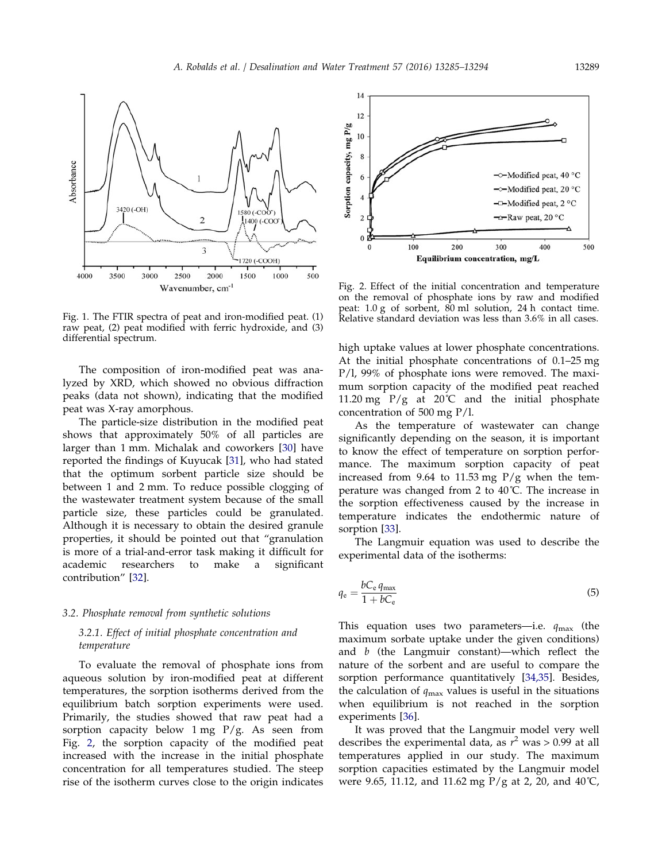<span id="page-4-0"></span>

Fig. 1. The FTIR spectra of peat and iron-modified peat. (1) raw peat, (2) peat modified with ferric hydroxide, and (3) differential spectrum.

The composition of iron-modified peat was analyzed by XRD, which showed no obvious diffraction peaks (data not shown), indicating that the modified peat was X-ray amorphous.

The particle-size distribution in the modified peat shows that approximately 50% of all particles are larger than 1 mm. Michalak and coworkers [[30\]](#page-9-0) have reported the findings of Kuyucak [\[31\]](#page-9-0), who had stated that the optimum sorbent particle size should be between 1 and 2 mm. To reduce possible clogging of the wastewater treatment system because of the small particle size, these particles could be granulated. Although it is necessary to obtain the desired granule properties, it should be pointed out that "granulation is more of a trial-and-error task making it difficult for academic researchers to make a significant contribution" [\[32\]](#page-9-0).

#### 3.2. Phosphate removal from synthetic solutions

# 3.2.1. Effect of initial phosphate concentration and temperature

To evaluate the removal of phosphate ions from aqueous solution by iron-modified peat at different temperatures, the sorption isotherms derived from the equilibrium batch sorption experiments were used. Primarily, the studies showed that raw peat had a sorption capacity below  $1 \text{ mg } P/g$ . As seen from Fig. 2, the sorption capacity of the modified peat increased with the increase in the initial phosphate concentration for all temperatures studied. The steep rise of the isotherm curves close to the origin indicates



Fig. 2. Effect of the initial concentration and temperature on the removal of phosphate ions by raw and modified peat: 1.0 g of sorbent, 80 ml solution, 24 h contact time. Relative standard deviation was less than 3.6% in all cases.

high uptake values at lower phosphate concentrations. At the initial phosphate concentrations of 0.1–25 mg P/l, 99% of phosphate ions were removed. The maximum sorption capacity of the modified peat reached 11.20 mg  $P/g$  at 20°C and the initial phosphate concentration of 500 mg P/l.

As the temperature of wastewater can change significantly depending on the season, it is important to know the effect of temperature on sorption performance. The maximum sorption capacity of peat increased from 9.64 to 11.53 mg  $P/g$  when the temperature was changed from 2 to 40˚C. The increase in the sorption effectiveness caused by the increase in temperature indicates the endothermic nature of sorption [\[33\]](#page-9-0).

The Langmuir equation was used to describe the experimental data of the isotherms:

$$
q_{\rm e} = \frac{bC_{\rm e} q_{\rm max}}{1 + bC_{\rm e}}\tag{5}
$$

This equation uses two parameters—i.e.  $q_{\text{max}}$  (the maximum sorbate uptake under the given conditions) and  $b$  (the Langmuir constant)—which reflect the nature of the sorbent and are useful to compare the sorption performance quantitatively [[34,35](#page-9-0)]. Besides, the calculation of  $q_{\text{max}}$  values is useful in the situations when equilibrium is not reached in the sorption experiments [\[36\]](#page-9-0).

It was proved that the Langmuir model very well describes the experimental data, as  $r^2$  was > 0.99 at all temperatures applied in our study. The maximum sorption capacities estimated by the Langmuir model were 9.65, 11.12, and 11.62 mg P/g at 2, 20, and 40˚C,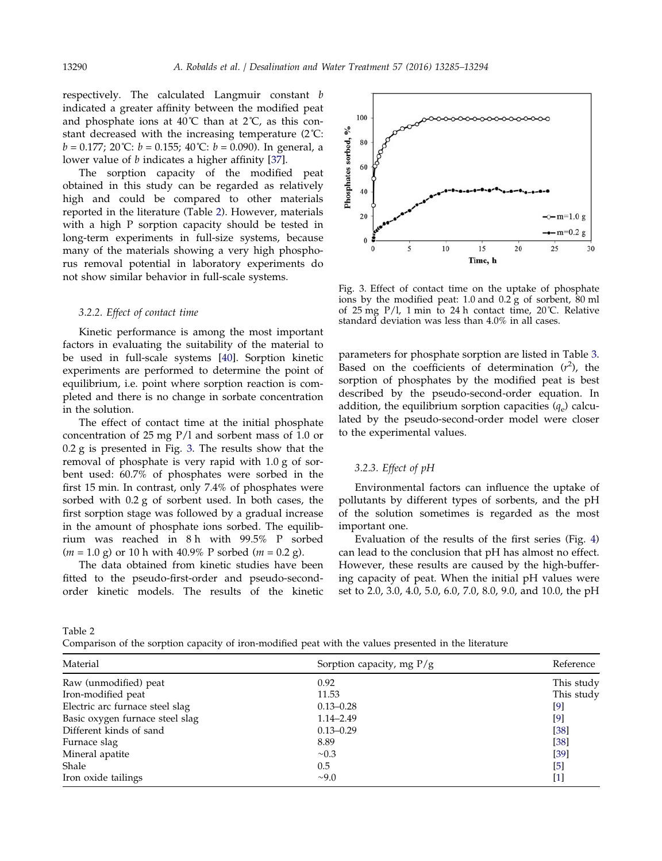respectively. The calculated Langmuir constant b indicated a greater affinity between the modified peat and phosphate ions at  $40^{\circ}$ C than at  $2^{\circ}$ C, as this constant decreased with the increasing temperature (2˚C:  $b = 0.177$ ; 20°C:  $b = 0.155$ ; 40°C:  $b = 0.090$ ). In general, a lower value of b indicates a higher affinity [[37](#page-9-0)].

The sorption capacity of the modified peat obtained in this study can be regarded as relatively high and could be compared to other materials reported in the literature (Table 2). However, materials with a high P sorption capacity should be tested in long-term experiments in full-size systems, because many of the materials showing a very high phosphorus removal potential in laboratory experiments do not show similar behavior in full-scale systems.

## 3.2.2. Effect of contact time

Kinetic performance is among the most important factors in evaluating the suitability of the material to be used in full-scale systems [\[40](#page-9-0)]. Sorption kinetic experiments are performed to determine the point of equilibrium, i.e. point where sorption reaction is completed and there is no change in sorbate concentration in the solution.

The effect of contact time at the initial phosphate concentration of 25 mg P/l and sorbent mass of 1.0 or 0.2 g is presented in Fig. 3. The results show that the removal of phosphate is very rapid with 1.0 g of sorbent used: 60.7% of phosphates were sorbed in the first 15 min. In contrast, only 7.4% of phosphates were sorbed with 0.2 g of sorbent used. In both cases, the first sorption stage was followed by a gradual increase in the amount of phosphate ions sorbed. The equilibrium was reached in 8 h with 99.5% P sorbed  $(m = 1.0 \text{ g})$  or 10 h with 40.9% P sorbed  $(m = 0.2 \text{ g})$ .

The data obtained from kinetic studies have been fitted to the pseudo-first-order and pseudo-secondorder kinetic models. The results of the kinetic



Fig. 3. Effect of contact time on the uptake of phosphate ions by the modified peat:  $1.0$  and  $0.2$  g of sorbent,  $80$  ml of 25 mg P/l, 1 min to 24 h contact time, 20˚C. Relative standard deviation was less than 4.0% in all cases.

parameters for phosphate sorption are listed in Table [3](#page-6-0). Based on the coefficients of determination  $(r^2)$ , the sorption of phosphates by the modified peat is best described by the pseudo-second-order equation. In addition, the equilibrium sorption capacities  $(q_e)$  calculated by the pseudo-second-order model were closer to the experimental values.

# 3.2.3. Effect of pH

Environmental factors can influence the uptake of pollutants by different types of sorbents, and the pH of the solution sometimes is regarded as the most important one.

Evaluation of the results of the first series (Fig. [4\)](#page-6-0) can lead to the conclusion that pH has almost no effect. However, these results are caused by the high-buffering capacity of peat. When the initial pH values were set to 2.0, 3.0, 4.0, 5.0, 6.0, 7.0, 8.0, 9.0, and 10.0, the pH

Table 2

Comparison of the sorption capacity of iron-modified peat with the values presented in the literature

| Material                        | Sorption capacity, mg $P/g$ | Reference  |  |
|---------------------------------|-----------------------------|------------|--|
| Raw (unmodified) peat           | 0.92                        | This study |  |
| Iron-modified peat              | 11.53                       | This study |  |
| Electric arc furnace steel slag | $0.13 - 0.28$               | $[9]$      |  |
| Basic oxygen furnace steel slag | $1.14 - 2.49$               | [9]        |  |
| Different kinds of sand         | $0.13 - 0.29$               | $[38]$     |  |
| Furnace slag                    | 8.89                        | [38]       |  |
| Mineral apatite                 | $\sim 0.3$                  | $[39]$     |  |
| Shale                           | 0.5                         | [5]        |  |
| Iron oxide tailings             | $\sim$ 9.0                  | $[1]$      |  |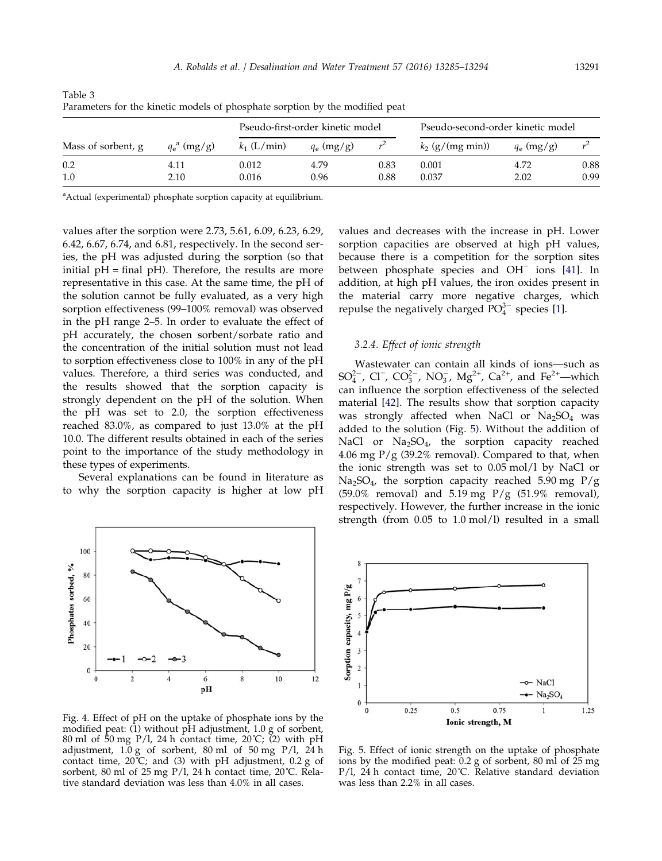|                    | $q_e^{\text{a}}$ (mg/g) | Pseudo-first-order kinetic model |              |      | Pseudo-second-order kinetic model |              |      |
|--------------------|-------------------------|----------------------------------|--------------|------|-----------------------------------|--------------|------|
| Mass of sorbent, g |                         | $k_1$ (L/min)                    | $q_e$ (mg/g) |      | $k_2$ (g/(mg min))                | $q_e$ (mg/g) |      |
| 0.2                | 4.11                    | 0.012                            | 4.79         | 0.83 | 0.001                             | 4.72         | 0.88 |
| 1.0                | 2.10                    | 0.016                            | 0.96         | 0.88 | 0.037                             | 2.02         | 0.99 |

<span id="page-6-0"></span>Table 3 Parameters for the kinetic models of phosphate sorption by the modified peat

<sup>a</sup>Actual (experimental) phosphate sorption capacity at equilibrium.

values after the sorption were 2.73, 5.61, 6.09, 6.23, 6.29, 6.42, 6.67, 6.74, and 6.81, respectively. In the second series, the pH was adjusted during the sorption (so that initial  $pH =$  final  $pH$ ). Therefore, the results are more representative in this case. At the same time, the pH of the solution cannot be fully evaluated, as a very high sorption effectiveness (99–100% removal) was observed in the pH range 2–5. In order to evaluate the effect of pH accurately, the chosen sorbent/sorbate ratio and the concentration of the initial solution must not lead to sorption effectiveness close to 100% in any of the pH values. Therefore, a third series was conducted, and the results showed that the sorption capacity is strongly dependent on the pH of the solution. When the pH was set to 2.0, the sorption effectiveness reached 83.0%, as compared to just 13.0% at the pH 10.0. The different results obtained in each of the series point to the importance of the study methodology in these types of experiments.

Several explanations can be found in literature as to why the sorption capacity is higher at low pH



Fig. 4. Effect of pH on the uptake of phosphate ions by the modified peat: (1) without pH adjustment, 1.0 g of sorbent, 80 ml of 50 mg P/l, 24 h contact time, 20˚C; (2) with pH adjustment,  $1.0 g$  of sorbent,  $80 ml$  of  $50 mg$  P/l,  $24 h$ contact time, 20˚C; and (3) with pH adjustment, 0.2 g of sorbent, 80 ml of 25 mg P/l, 24 h contact time, 20°C. Relative standard deviation was less than 4.0% in all cases.

values and decreases with the increase in pH. Lower sorption capacities are observed at high pH values, because there is a competition for the sorption sites between phosphate species and OH<sup>−</sup> ions [\[41\]](#page-9-0). In addition, at high pH values, the iron oxides present in the material carry more negative charges, which repulse the negatively charged  $PO_4^{3-}$  species [[1\]](#page-8-0).

# 3.2.4. Effect of ionic strength

Wastewater can contain all kinds of ions—such as SO<sup>2-</sup>, Cl<sup>-</sup>, CO<sup>2</sup>-, NO<sub>3</sub>, Mg<sup>2+</sup>, Ca<sup>2+</sup>, and Fe<sup>2+</sup>—which can influence the sorption effectiveness of the selected material [[42\]](#page-9-0). The results show that sorption capacity was strongly affected when NaCl or  $Na<sub>2</sub>SO<sub>4</sub>$  was added to the solution (Fig. 5). Without the addition of NaCl or Na<sub>2</sub>SO<sub>4</sub>, the sorption capacity reached 4.06 mg  $P/g$  (39.2% removal). Compared to that, when the ionic strength was set to 0.05 mol/l by NaCl or Na<sub>2</sub>SO<sub>4</sub>, the sorption capacity reached 5.90 mg P/g (59.0% removal) and 5.19 mg P/g (51.9% removal), respectively. However, the further increase in the ionic strength (from 0.05 to 1.0 mol/l) resulted in a small



Fig. 5. Effect of ionic strength on the uptake of phosphate ions by the modified peat: 0.2 g of sorbent, 80 ml of 25 mg P/l, 24 h contact time, 20°C. Relative standard deviation was less than 2.2% in all cases.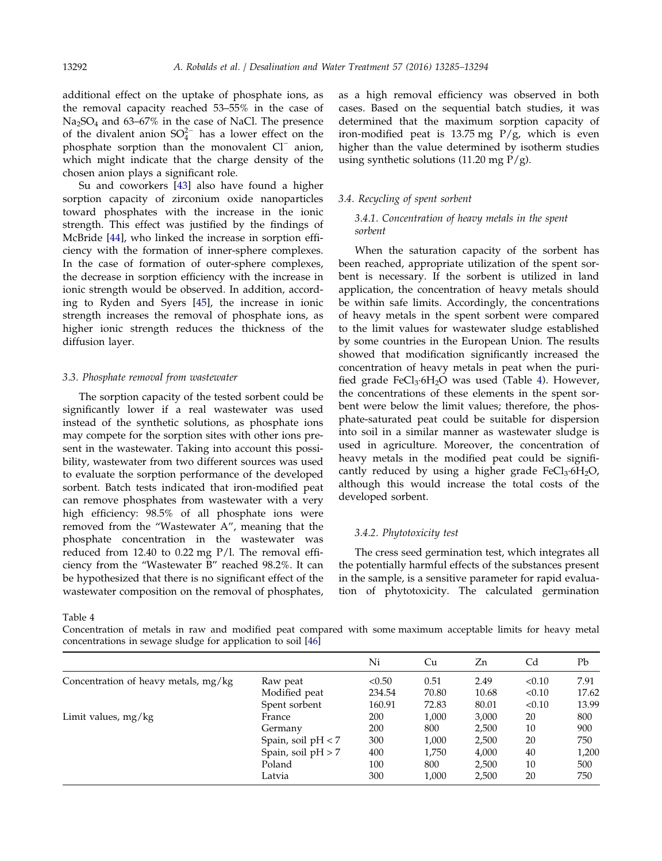additional effect on the uptake of phosphate ions, as the removal capacity reached 53–55% in the case of  $Na<sub>2</sub>SO<sub>4</sub>$  and 63–67% in the case of NaCl. The presence of the divalent anion  $SO_4^{2-}$  has a lower effect on the phosphate sorption than the monovalent Cl<sup>−</sup> anion, which might indicate that the charge density of the chosen anion plays a significant role.

Su and coworkers [\[43\]](#page-9-0) also have found a higher sorption capacity of zirconium oxide nanoparticles toward phosphates with the increase in the ionic strength. This effect was justified by the findings of McBride [\[44](#page-9-0)], who linked the increase in sorption efficiency with the formation of inner-sphere complexes. In the case of formation of outer-sphere complexes, the decrease in sorption efficiency with the increase in ionic strength would be observed. In addition, according to Ryden and Syers [[45](#page-9-0)], the increase in ionic strength increases the removal of phosphate ions, as higher ionic strength reduces the thickness of the diffusion layer.

# 3.3. Phosphate removal from wastewater

The sorption capacity of the tested sorbent could be significantly lower if a real wastewater was used instead of the synthetic solutions, as phosphate ions may compete for the sorption sites with other ions present in the wastewater. Taking into account this possibility, wastewater from two different sources was used to evaluate the sorption performance of the developed sorbent. Batch tests indicated that iron-modified peat can remove phosphates from wastewater with a very high efficiency: 98.5% of all phosphate ions were removed from the "Wastewater A", meaning that the phosphate concentration in the wastewater was reduced from 12.40 to 0.22 mg P/l. The removal efficiency from the "Wastewater B" reached 98.2%. It can be hypothesized that there is no significant effect of the wastewater composition on the removal of phosphates,

as a high removal efficiency was observed in both cases. Based on the sequential batch studies, it was determined that the maximum sorption capacity of iron-modified peat is 13.75 mg P/g, which is even higher than the value determined by isotherm studies using synthetic solutions (11.20 mg  $P/g$ ).

## 3.4. Recycling of spent sorbent

# 3.4.1. Concentration of heavy metals in the spent sorbent

When the saturation capacity of the sorbent has been reached, appropriate utilization of the spent sorbent is necessary. If the sorbent is utilized in land application, the concentration of heavy metals should be within safe limits. Accordingly, the concentrations of heavy metals in the spent sorbent were compared to the limit values for wastewater sludge established by some countries in the European Union. The results showed that modification significantly increased the concentration of heavy metals in peat when the purified grade  $FeCl<sub>3</sub>·6H<sub>2</sub>O$  was used (Table 4). However, the concentrations of these elements in the spent sorbent were below the limit values; therefore, the phosphate-saturated peat could be suitable for dispersion into soil in a similar manner as wastewater sludge is used in agriculture. Moreover, the concentration of heavy metals in the modified peat could be significantly reduced by using a higher grade  $FeCl<sub>3</sub>·6H<sub>2</sub>O$ , although this would increase the total costs of the developed sorbent.

## 3.4.2. Phytotoxicity test

The cress seed germination test, which integrates all the potentially harmful effects of the substances present in the sample, is a sensitive parameter for rapid evaluation of phytotoxicity. The calculated germination

Table 4

Concentration of metals in raw and modified peat compared with some maximum acceptable limits for heavy metal concentrations in sewage sludge for application to soil [[46\]](#page-9-0)

|                                      |                    | Ni     | Сu    | Zn    | Cd     | Pb    |
|--------------------------------------|--------------------|--------|-------|-------|--------|-------|
| Concentration of heavy metals, mg/kg | Raw peat           | < 0.50 | 0.51  | 2.49  | < 0.10 | 7.91  |
|                                      | Modified peat      | 234.54 | 70.80 | 10.68 | < 0.10 | 17.62 |
|                                      | Spent sorbent      | 160.91 | 72.83 | 80.01 | < 0.10 | 13.99 |
| Limit values, mg/kg                  | France             | 200    | 1,000 | 3,000 | 20     | 800   |
|                                      | Germany            | 200    | 800   | 2,500 | 10     | 900   |
|                                      | Spain, soil pH < 7 | 300    | 1,000 | 2,500 | 20     | 750   |
|                                      | Spain, soil pH > 7 | 400    | 1,750 | 4,000 | 40     | 1,200 |
|                                      | Poland             | 100    | 800   | 2,500 | 10     | 500   |
|                                      | Latvia             | 300    | 1,000 | 2,500 | 20     | 750   |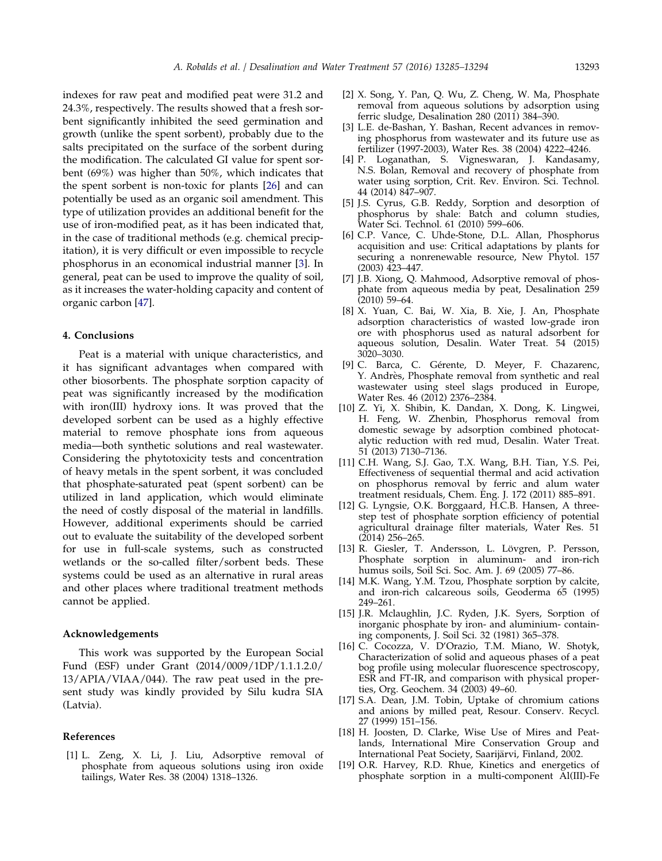<span id="page-8-0"></span>indexes for raw peat and modified peat were 31.2 and 24.3%, respectively. The results showed that a fresh sorbent significantly inhibited the seed germination and growth (unlike the spent sorbent), probably due to the salts precipitated on the surface of the sorbent during the modification. The calculated GI value for spent sorbent (69%) was higher than 50%, which indicates that the spent sorbent is non-toxic for plants [\[26\]](#page-9-0) and can potentially be used as an organic soil amendment. This type of utilization provides an additional benefit for the use of iron-modified peat, as it has been indicated that, in the case of traditional methods (e.g. chemical precipitation), it is very difficult or even impossible to recycle phosphorus in an economical industrial manner [3]. In general, peat can be used to improve the quality of soil, as it increases the water-holding capacity and content of organic carbon [\[47\]](#page-9-0).

# 4. Conclusions

Peat is a material with unique characteristics, and it has significant advantages when compared with other biosorbents. The phosphate sorption capacity of peat was significantly increased by the modification with iron(III) hydroxy ions. It was proved that the developed sorbent can be used as a highly effective material to remove phosphate ions from aqueous media—both synthetic solutions and real wastewater. Considering the phytotoxicity tests and concentration of heavy metals in the spent sorbent, it was concluded that phosphate-saturated peat (spent sorbent) can be utilized in land application, which would eliminate the need of costly disposal of the material in landfills. However, additional experiments should be carried out to evaluate the suitability of the developed sorbent for use in full-scale systems, such as constructed wetlands or the so-called filter/sorbent beds. These systems could be used as an alternative in rural areas and other places where traditional treatment methods cannot be applied.

# Acknowledgements

This work was supported by the European Social Fund (ESF) under Grant (2014/0009/1DP/1.1.1.2.0/ 13/APIA/VIAA/044). The raw peat used in the present study was kindly provided by Silu kudra SIA (Latvia).

### References

[1] L. Zeng, X. Li, J. Liu, Adsorptive removal of phosphate from aqueous solutions using iron oxide tailings, Water Res. 38 (2004) 1318–1326.

- [2] X. Song, Y. Pan, Q. Wu, Z. Cheng, W. Ma, Phosphate removal from aqueous solutions by adsorption using ferric sludge, Desalination 280 (2011) 384–390.
- [3] L.E. de-Bashan, Y. Bashan, Recent advances in removing phosphorus from wastewater and its future use as fertilizer (1997-2003), Water Res. 38 (2004) 4222–4246.
- [4] P. Loganathan, S. Vigneswaran, J. Kandasamy, N.S. Bolan, Removal and recovery of phosphate from water using sorption, Crit. Rev. Environ. Sci. Technol. 44 (2014) 847–907.
- [5] J.S. Cyrus, G.B. Reddy, Sorption and desorption of phosphorus by shale: Batch and column studies, Water Sci. Technol. 61 (2010) 599–606.
- [6] C.P. Vance, C. Uhde-Stone, D.L. Allan, Phosphorus acquisition and use: Critical adaptations by plants for securing a nonrenewable resource, New Phytol. 157 (2003) 423–447.
- [7] J.B. Xiong, Q. Mahmood, Adsorptive removal of phosphate from aqueous media by peat, Desalination 259 (2010) 59–64.
- [8] X. Yuan, C. Bai, W. Xia, B. Xie, J. An, Phosphate adsorption characteristics of wasted low-grade iron ore with phosphorus used as natural adsorbent for aqueous solution, Desalin. Water Treat. 54 (2015) 3020–3030.
- [9] C. Barca, C. Gérente, D. Meyer, F. Chazarenc, Y. Andrès, Phosphate removal from synthetic and real wastewater using steel slags produced in Europe, Water Res. 46 (2012) 2376–2384.
- [10] Z. Yi, X. Shibin, K. Dandan, X. Dong, K. Lingwei, H. Feng, W. Zhenbin, Phosphorus removal from domestic sewage by adsorption combined photocatalytic reduction with red mud, Desalin. Water Treat. 51 (2013) 7130–7136.
- [11] C.H. Wang, S.J. Gao, T.X. Wang, B.H. Tian, Y.S. Pei, Effectiveness of sequential thermal and acid activation on phosphorus removal by ferric and alum water treatment residuals, Chem. Eng. J. 172 (2011) 885–891.
- [12] G. Lyngsie, O.K. Borggaard, H.C.B. Hansen, A threestep test of phosphate sorption efficiency of potential agricultural drainage filter materials, Water Res. 51 (2014) 256–265.
- [13] R. Giesler, T. Andersson, L. Lövgren, P. Persson, Phosphate sorption in aluminum- and iron-rich humus soils, Soil Sci. Soc. Am. J. 69 (2005) 77–86.
- [14] M.K. Wang, Y.M. Tzou, Phosphate sorption by calcite, and iron-rich calcareous soils, Geoderma 65 (1995) 249–261.
- [15] J.R. Mclaughlin, J.C. Ryden, J.K. Syers, Sorption of inorganic phosphate by iron- and aluminium- containing components, J. Soil Sci. 32 (1981) 365–378.
- [16] C. Cocozza, V. D'Orazio, T.M. Miano, W. Shotyk, Characterization of solid and aqueous phases of a peat bog profile using molecular fluorescence spectroscopy, ESR and FT-IR, and comparison with physical properties, Org. Geochem. 34 (2003) 49–60.
- [17] S.A. Dean, J.M. Tobin, Uptake of chromium cations and anions by milled peat, Resour. Conserv. Recycl. 27 (1999) 151–156.
- [18] H. Joosten, D. Clarke, Wise Use of Mires and Peatlands, International Mire Conservation Group and International Peat Society, Saarijärvi, Finland, 2002.
- [19] O.R. Harvey, R.D. Rhue, Kinetics and energetics of phosphate sorption in a multi-component Al(III)-Fe